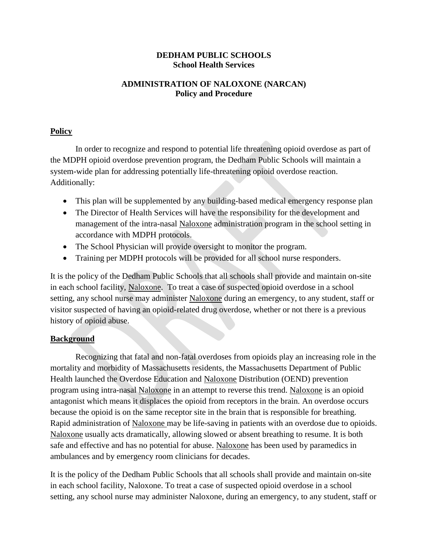# **DEDHAM PUBLIC SCHOOLS School Health Services**

### **ADMINISTRATION OF NALOXONE (NARCAN) Policy and Procedure**

## **Policy**

In order to recognize and respond to potential life threatening opioid overdose as part of the MDPH opioid overdose prevention program, the Dedham Public Schools will maintain a system-wide plan for addressing potentially life-threatening opioid overdose reaction. Additionally:

- This plan will be supplemented by any building-based medical emergency response plan
- The Director of Health Services will have the responsibility for the development and management of the intra-nasal Naloxone administration program in the school setting in accordance with MDPH protocols.
- The School Physician will provide oversight to monitor the program.
- Training per MDPH protocols will be provided for all school nurse responders.

It is the policy of the Dedham Public Schools that all schools shall provide and maintain on-site in each school facility, Naloxone. To treat a case of suspected opioid overdose in a school setting, any school nurse may administer Naloxone during an emergency, to any student, staff or visitor suspected of having an opioid-related drug overdose, whether or not there is a previous history of opioid abuse.

#### **Background**

Recognizing that fatal and non-fatal overdoses from opioids play an increasing role in the mortality and morbidity of Massachusetts residents, the Massachusetts Department of Public Health launched the Overdose Education and Naloxone Distribution (OEND) prevention program using intra-nasal Naloxone in an attempt to reverse this trend. Naloxone is an opioid antagonist which means it displaces the opioid from receptors in the brain. An overdose occurs because the opioid is on the same receptor site in the brain that is responsible for breathing. Rapid administration of Naloxone may be life-saving in patients with an overdose due to opioids. Naloxone usually acts dramatically, allowing slowed or absent breathing to resume. It is both safe and effective and has no potential for abuse. Naloxone has been used by paramedics in ambulances and by emergency room clinicians for decades.

It is the policy of the Dedham Public Schools that all schools shall provide and maintain on-site in each school facility, Naloxone. To treat a case of suspected opioid overdose in a school setting, any school nurse may administer Naloxone, during an emergency, to any student, staff or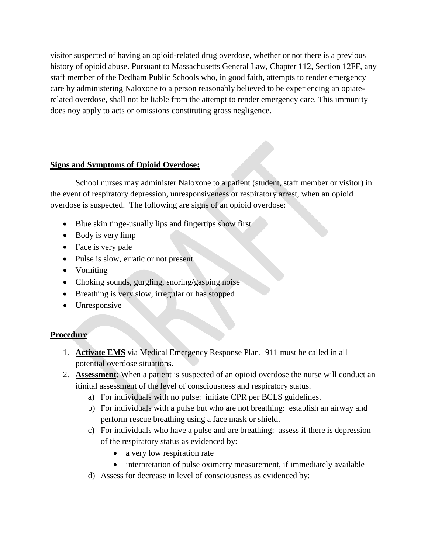visitor suspected of having an opioid-related drug overdose, whether or not there is a previous history of opioid abuse. Pursuant to Massachusetts General Law, Chapter 112, Section 12FF, any staff member of the Dedham Public Schools who, in good faith, attempts to render emergency care by administering Naloxone to a person reasonably believed to be experiencing an opiaterelated overdose, shall not be liable from the attempt to render emergency care. This immunity does noy apply to acts or omissions constituting gross negligence.

### **Signs and Symptoms of Opioid Overdose:**

School nurses may administer Naloxone to a patient (student, staff member or visitor) in the event of respiratory depression, unresponsiveness or respiratory arrest, when an opioid overdose is suspected. The following are signs of an opioid overdose:

- Blue skin tinge-usually lips and fingertips show first
- Body is very limp
- Face is very pale
- Pulse is slow, erratic or not present
- Vomiting
- Choking sounds, gurgling, snoring/gasping noise
- Breathing is very slow, irregular or has stopped
- Unresponsive

# **Procedure**

- 1. **Activate EMS** via Medical Emergency Response Plan. 911 must be called in all potential overdose situations.
- 2. **Assessment**: When a patient is suspected of an opioid overdose the nurse will conduct an itinital assessment of the level of consciousness and respiratory status.
	- a) For individuals with no pulse: initiate CPR per BCLS guidelines.
	- b) For individuals with a pulse but who are not breathing: establish an airway and perform rescue breathing using a face mask or shield.
	- c) For individuals who have a pulse and are breathing: assess if there is depression of the respiratory status as evidenced by:
		- a very low respiration rate
		- interpretation of pulse oximetry measurement, if immediately available
	- d) Assess for decrease in level of consciousness as evidenced by: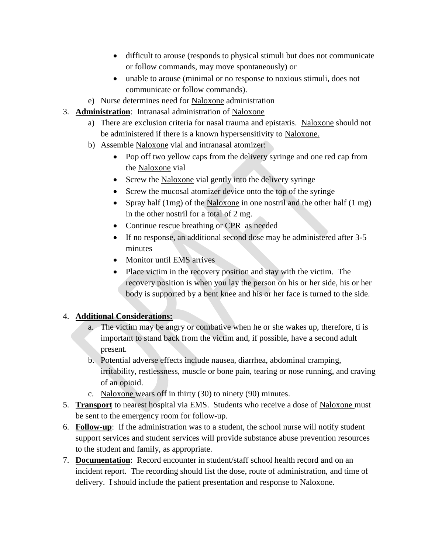- difficult to arouse (responds to physical stimuli but does not communicate or follow commands, may move spontaneously) or
- unable to arouse (minimal or no response to noxious stimuli, does not communicate or follow commands).
- e) Nurse determines need for Naloxone administration
- 3. **Administration**: Intranasal administration of Naloxone
	- a) There are exclusion criteria for nasal trauma and epistaxis. Naloxone should not be administered if there is a known hypersensitivity to Naloxone.
	- b) Assemble Naloxone vial and intranasal atomizer:
		- Pop off two yellow caps from the delivery syringe and one red cap from the Naloxone vial
		- Screw the Naloxone vial gently into the delivery syringe
		- Screw the mucosal atomizer device onto the top of the syringe
		- Spray half (1mg) of the Naloxone in one nostril and the other half (1 mg) in the other nostril for a total of 2 mg.
		- Continue rescue breathing or CPR as needed
		- If no response, an additional second dose may be administered after 3-5 minutes
		- Monitor until EMS arrives
		- Place victim in the recovery position and stay with the victim. The recovery position is when you lay the person on his or her side, his or her body is supported by a bent knee and his or her face is turned to the side.

# 4. **Additional Considerations:**

- a. The victim may be angry or combative when he or she wakes up, therefore, ti is important to stand back from the victim and, if possible, have a second adult present.
- b. Potential adverse effects include nausea, diarrhea, abdominal cramping, irritability, restlessness, muscle or bone pain, tearing or nose running, and craving of an opioid.
- c. Naloxone wears off in thirty (30) to ninety (90) minutes.
- 5. **Transport** to nearest hospital via EMS. Students who receive a dose of Naloxone must be sent to the emergency room for follow-up.
- 6. **Follow-up**: If the administration was to a student, the school nurse will notify student support services and student services will provide substance abuse prevention resources to the student and family, as appropriate.
- 7. **Documentation**: Record encounter in student/staff school health record and on an incident report. The recording should list the dose, route of administration, and time of delivery. I should include the patient presentation and response to Naloxone.